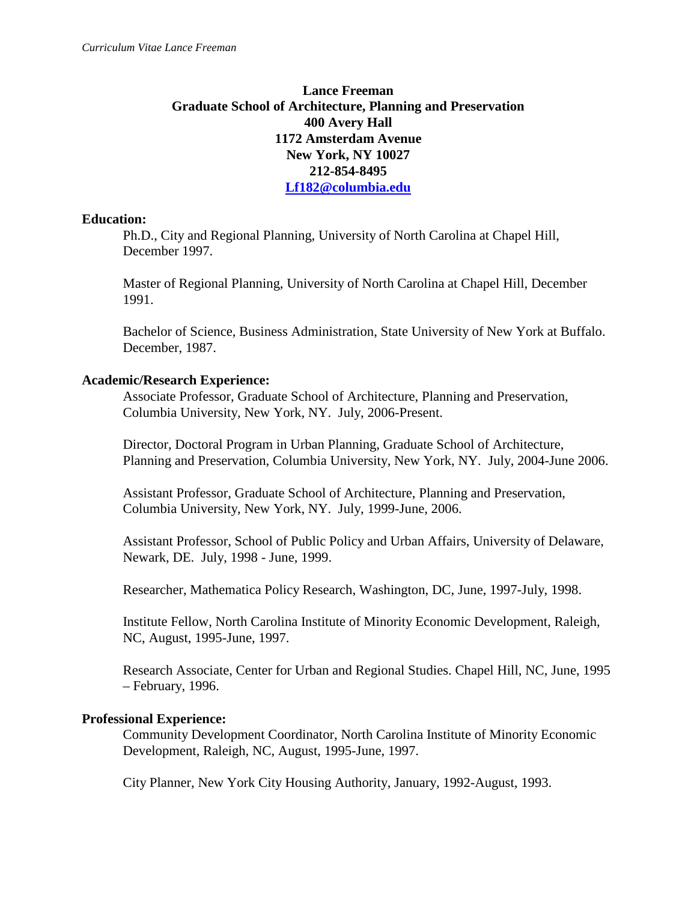# **Lance Freeman Graduate School of Architecture, Planning and Preservation 400 Avery Hall 1172 Amsterdam Avenue New York, NY 10027 212-854-8495 Lf182@columbia.edu**

## **Education:**

Ph.D., City and Regional Planning, University of North Carolina at Chapel Hill, December 1997.

Master of Regional Planning, University of North Carolina at Chapel Hill, December 1991.

Bachelor of Science, Business Administration, State University of New York at Buffalo. December, 1987.

## **Academic/Research Experience:**

Associate Professor, Graduate School of Architecture, Planning and Preservation, Columbia University, New York, NY. July, 2006-Present.

Director, Doctoral Program in Urban Planning, Graduate School of Architecture, Planning and Preservation, Columbia University, New York, NY. July, 2004-June 2006.

Assistant Professor, Graduate School of Architecture, Planning and Preservation, Columbia University, New York, NY. July, 1999-June, 2006.

Assistant Professor, School of Public Policy and Urban Affairs, University of Delaware, Newark, DE. July, 1998 - June, 1999.

Researcher, Mathematica Policy Research, Washington, DC, June, 1997-July, 1998.

Institute Fellow, North Carolina Institute of Minority Economic Development, Raleigh, NC, August, 1995-June, 1997.

Research Associate, Center for Urban and Regional Studies. Chapel Hill, NC, June, 1995 – February, 1996.

# **Professional Experience:**

Community Development Coordinator, North Carolina Institute of Minority Economic Development, Raleigh, NC, August, 1995-June, 1997.

City Planner, New York City Housing Authority, January, 1992-August, 1993.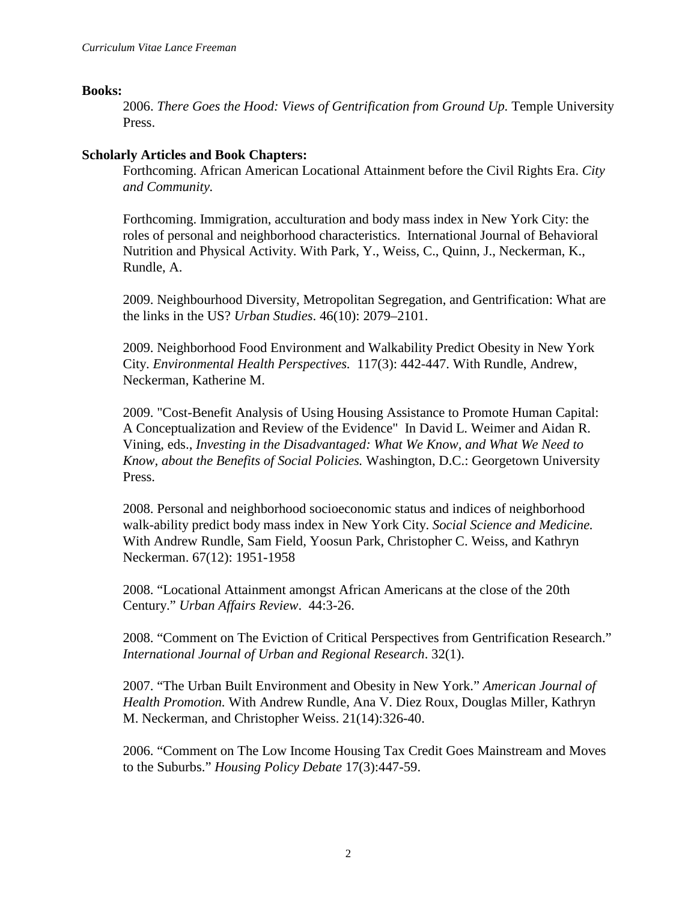#### **Books:**

2006. *There Goes the Hood: Views of Gentrification from Ground Up.* Temple University Press.

## **Scholarly Articles and Book Chapters:**

Forthcoming. African American Locational Attainment before the Civil Rights Era. *City and Community.*

Forthcoming. Immigration, acculturation and body mass index in New York City: the roles of personal and neighborhood characteristics. International Journal of Behavioral Nutrition and Physical Activity. With Park, Y., Weiss, C., Quinn, J., Neckerman, K., Rundle, A.

2009. Neighbourhood Diversity, Metropolitan Segregation, and Gentrification: What are the links in the US? *Urban Studies*. 46(10): 2079–2101.

2009. Neighborhood Food Environment and Walkability Predict Obesity in New York City. *Environmental Health Perspectives.* 117(3): 442-447. With Rundle, Andrew, Neckerman, Katherine M.

2009. "Cost-Benefit Analysis of Using Housing Assistance to Promote Human Capital: A Conceptualization and Review of the Evidence" In David L. Weimer and Aidan R. Vining, eds., *Investing in the Disadvantaged: What We Know, and What We Need to Know, about the Benefits of Social Policies.* Washington, D.C.: Georgetown University Press.

2008. Personal and neighborhood socioeconomic status and indices of neighborhood walk-ability predict body mass index in New York City. *Social Science and Medicine.*  With Andrew Rundle, Sam Field, Yoosun Park, Christopher C. Weiss, and Kathryn Neckerman. 67(12): 1951-1958

2008. "Locational Attainment amongst African Americans at the close of the 20th Century." *Urban Affairs Review*. 44:3-26.

2008. "Comment on The Eviction of Critical Perspectives from Gentrification Research." *International Journal of Urban and Regional Research*. 32(1).

2007. "The Urban Built Environment and Obesity in New York." *American Journal of Health Promotion.* With Andrew Rundle, Ana V. Diez Roux, Douglas Miller, Kathryn M. Neckerman, and Christopher Weiss. 21(14):326-40.

2006. "Comment on The Low Income Housing Tax Credit Goes Mainstream and Moves to the Suburbs." *Housing Policy Debate* 17(3):447-59.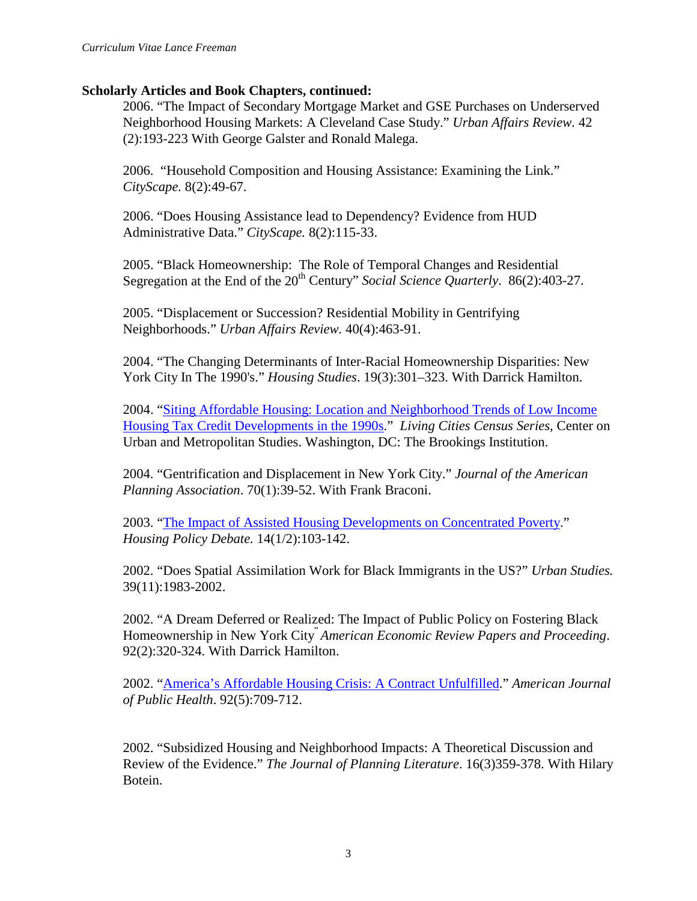## **Scholarly Articles and Book Chapters, continued:**

2006. "The Impact of Secondary Mortgage Market and GSE Purchases on Underserved Neighborhood Housing Markets: A Cleveland Case Study." *Urban Affairs Review.* 42 (2):193-223 With George Galster and Ronald Malega.

2006. "Household Composition and Housing Assistance: Examining the Link." *CityScape.* 8(2):49-67.

2006. "Does Housing Assistance lead to Dependency? Evidence from HUD Administrative Data." *CityScape.* 8(2):115-33.

2005. "Black Homeownership: The Role of Temporal Changes and Residential Segregation at the End of the 20<sup>th</sup> Century" *Social Science Quarterly*. 86(2):403-27.

2005. "Displacement or Succession? Residential Mobility in Gentrifying Neighborhoods." *Urban Affairs Review.* 40(4):463-91.

2004. "The Changing Determinants of Inter-Racial Homeownership Disparities: New York City In The 1990's." *Housing Studies*. 19(3):301–323. With Darrick Hamilton.

2004. ["Siting Affordable Housing: Location and Neighborhood Trends of Low Income](http://www.brookings.edu/urban/publications/20040405_Freeman.htm)  [Housing Tax Credit Developments in the 1990s.](http://www.brookings.edu/urban/publications/20040405_Freeman.htm)" *Living Cities Census Series*, Center on Urban and Metropolitan Studies. Washington, DC: The Brookings Institution.

2004. "Gentrification and Displacement in New York City." *Journal of the American Planning Association*. 70(1):39-52. With Frank Braconi.

2003. ["The Impact of Assisted Housing Developments](http://www.fanniemaefoundation.org/programs/hpd/v14i1-index.shtml) on Concentrated Poverty." *Housing Policy Debate.* 14(1/2):103-142.

2002. "Does Spatial Assimilation Work for Black Immigrants in the US?" *Urban Studies.* 39(11):1983-2002.

2002. "A Dream Deferred or Realized: The Impact of Public Policy on Fostering Black Homeownership in New York City" *American Economic Review Papers and Proceeding*. 92(2):320-324. With Darrick Hamilton.

2002. ["America's Affordable Housing Crisis: A Contract Unfulfilled.](http://www.ajph.org/cgi/content/full/92/5/709)" *American Journal of Public Health*. 92(5):709-712.

2002. "Subsidized Housing and Neighborhood Impacts: A Theoretical Discussion and Review of the Evidence." *The Journal of Planning Literature*. 16(3)359-378. With Hilary Botein.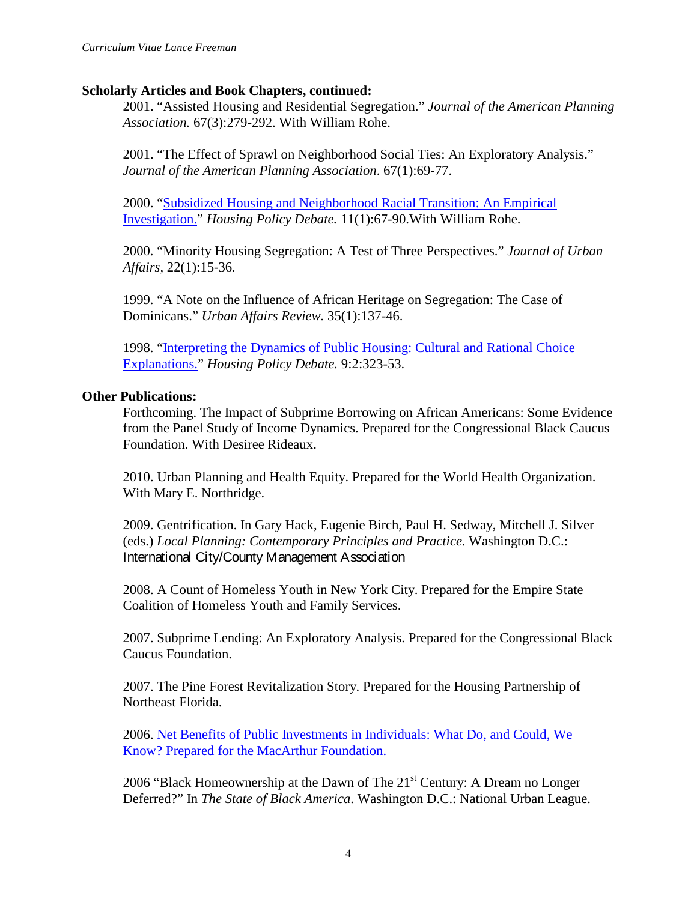## **Scholarly Articles and Book Chapters, continued:**

2001. "Assisted Housing and Residential Segregation." *Journal of the American Planning Association.* 67(3):279-292. With William Rohe.

2001. "The Effect of Sprawl on Neighborhood Social Ties: An Exploratory Analysis." *Journal of the American Planning Association*. 67(1):69-77.

2000. ["Subsidized Housing and Neighborhood Racial Transition: An Empirical](http://www.fanniemaefoundation.org/programs/hpd/v11i1-index.shtml)  [Investigation."](http://www.fanniemaefoundation.org/programs/hpd/v11i1-index.shtml) *Housing Policy Debate.* 11(1):67-90.With William Rohe.

2000. "Minority Housing Segregation: A Test of Three Perspectives." *Journal of Urban Affairs,* 22(1):15-36*.*

1999. "A Note on the Influence of African Heritage on Segregation: The Case of Dominicans." *Urban Affairs Review.* 35(1):137-46.

1998. ["Interpreting the Dynamics of Public Housing: Cultural and Rational Choice](http://www.fanniemaefoundation.org/programs/hpd/v9i2-index.shtml)  [Explanations."](http://www.fanniemaefoundation.org/programs/hpd/v9i2-index.shtml) *Housing Policy Debate.* 9:2:323-53.

## **Other Publications:**

Forthcoming. The Impact of Subprime Borrowing on African Americans: Some Evidence from the Panel Study of Income Dynamics. Prepared for the Congressional Black Caucus Foundation. With Desiree Rideaux.

2010. Urban Planning and Health Equity. Prepared for the World Health Organization. With Mary E. Northridge.

2009. Gentrification. In Gary Hack, Eugenie Birch, Paul H. Sedway, Mitchell J. Silver (eds.) *Local Planning: Contemporary Principles and Practice.* Washington D.C.: International City/County Management Association

2008. A Count of Homeless Youth in New York City. Prepared for the Empire State Coalition of Homeless Youth and Family Services.

2007. Subprime Lending: An Exploratory Analysis. Prepared for the Congressional Black Caucus Foundation.

2007. The Pine Forest Revitalization Story. Prepared for the Housing Partnership of Northeast Florida.

2006. Net Benefits of Public Investments in Individuals: What Do, and Could, We Know? Prepared for the MacArthur Foundation.

2006 "Black Homeownership at the Dawn of The  $21<sup>st</sup>$  Century: A Dream no Longer Deferred?" In *The State of Black America*. Washington D.C.: National Urban League.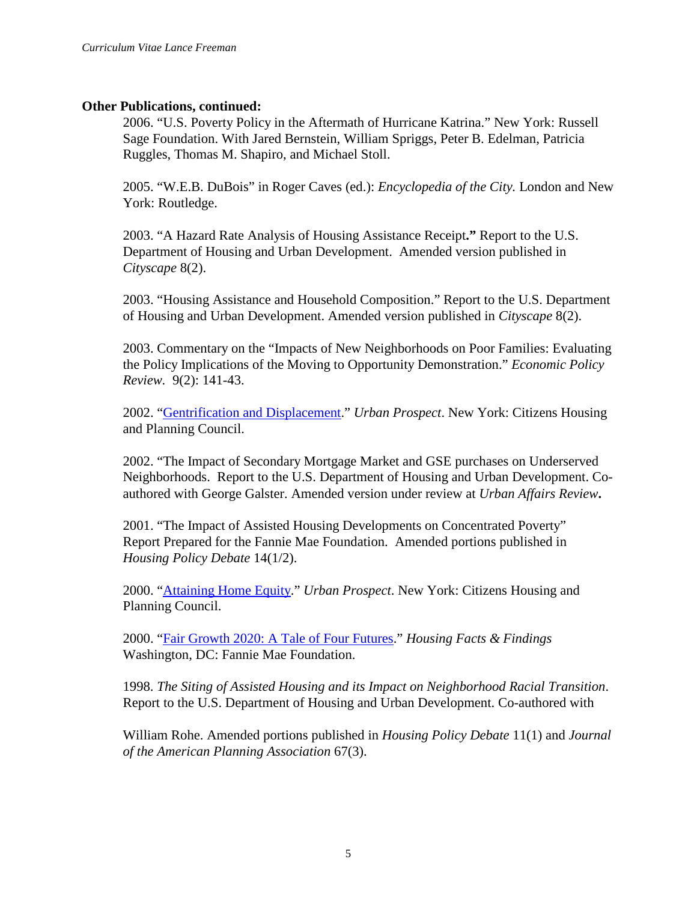## **Other Publications, continued:**

2006. "U.S. Poverty Policy in the Aftermath of Hurricane Katrina." New York: Russell Sage Foundation. With Jared Bernstein, William Spriggs, Peter B. Edelman, Patricia Ruggles, Thomas M. Shapiro, and Michael Stoll.

2005. "W.E.B. DuBois" in Roger Caves (ed.): *Encyclopedia of the City.* London and New York: Routledge.

2003. "A Hazard Rate Analysis of Housing Assistance Receipt**."** Report to the U.S. Department of Housing and Urban Development. Amended version published in *Cityscape* 8(2).

2003. "Housing Assistance and Household Composition." Report to the U.S. Department of Housing and Urban Development. Amended version published in *Cityscape* 8(2).

2003. Commentary on the "Impacts of New Neighborhoods on Poor Families: Evaluating the Policy Implications of the Moving to Opportunity Demonstration." *Economic Policy Review.* 9(2): 141-43.

2002. ["Gentrification and Displacement.](http://www.chpcny.org/pubs/UP2002-1.pdf)" *Urban Prospect*. New York: Citizens Housing and Planning Council.

2002. "The Impact of Secondary Mortgage Market and GSE purchases on Underserved Neighborhoods. Report to the U.S. Department of Housing and Urban Development. Coauthored with George Galster. Amended version under review at *Urban Affairs Review***.**

2001. "The Impact of Assisted Housing Developments on Concentrated Poverty" Report Prepared for the Fannie Mae Foundation. Amended portions published in *Housing Policy Debate* 14(1/2).

2000. ["Attaining Home Equity.](http://www.chpcny.org/pubs/UP2000-4.pdf)" *Urban Prospect*. New York: Citizens Housing and Planning Council.

2000. ["Fair Growth 2020: A Tale of Four Futures.](http://www.fanniemaefoundation.org/programs/hff/v2i4-fairgrowth.shtml)" *Housing Facts & Findings*  Washington, DC: Fannie Mae Foundation.

1998. *The Siting of Assisted Housing and its Impact on Neighborhood Racial Transition*. Report to the U.S. Department of Housing and Urban Development. Co-authored with

William Rohe. Amended portions published in *Housing Policy Debate* 11(1) and *Journal of the American Planning Association* 67(3).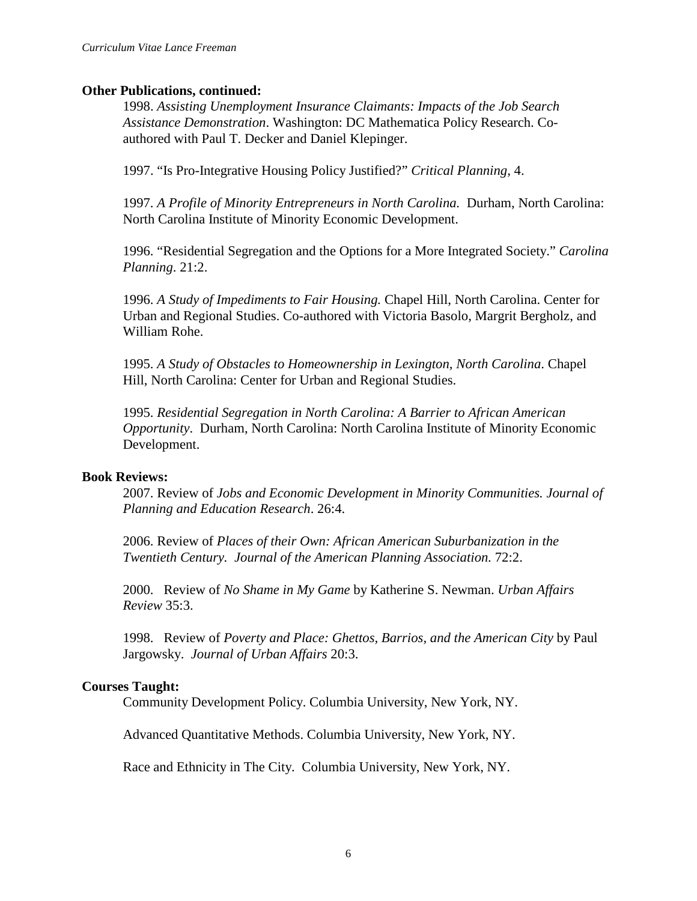#### **Other Publications, continued:**

1998. *Assisting Unemployment Insurance Claimants: Impacts of the Job Search Assistance Demonstration*. Washington: DC Mathematica Policy Research. Coauthored with Paul T. Decker and Daniel Klepinger.

1997. "Is Pro-Integrative Housing Policy Justified?" *Critical Planning*, 4.

1997. *A Profile of Minority Entrepreneurs in North Carolina.* Durham, North Carolina: North Carolina Institute of Minority Economic Development.

1996. "Residential Segregation and the Options for a More Integrated Society." *Carolina Planning*. 21:2.

1996. *A Study of Impediments to Fair Housing.* Chapel Hill, North Carolina. Center for Urban and Regional Studies. Co-authored with Victoria Basolo, Margrit Bergholz, and William Rohe.

1995. *A Study of Obstacles to Homeownership in Lexington, North Carolina*. Chapel Hill, North Carolina: Center for Urban and Regional Studies.

1995. *Residential Segregation in North Carolina: A Barrier to African American Opportunity*. Durham, North Carolina: North Carolina Institute of Minority Economic Development.

#### **Book Reviews:**

2007. Review of *Jobs and Economic Development in Minority Communities. Journal of Planning and Education Research*. 26:4.

2006. Review of *Places of their Own: African American Suburbanization in the Twentieth Century. Journal of the American Planning Association.* 72:2.

2000. Review of *No Shame in My Game* by Katherine S. Newman. *Urban Affairs Review* 35:3.

1998. Review of *Poverty and Place: Ghettos, Barrios, and the American City* by Paul Jargowsky. *Journal of Urban Affairs* 20:3.

#### **Courses Taught:**

Community Development Policy. Columbia University, New York, NY.

Advanced Quantitative Methods. Columbia University, New York, NY.

Race and Ethnicity in The City. Columbia University, New York, NY.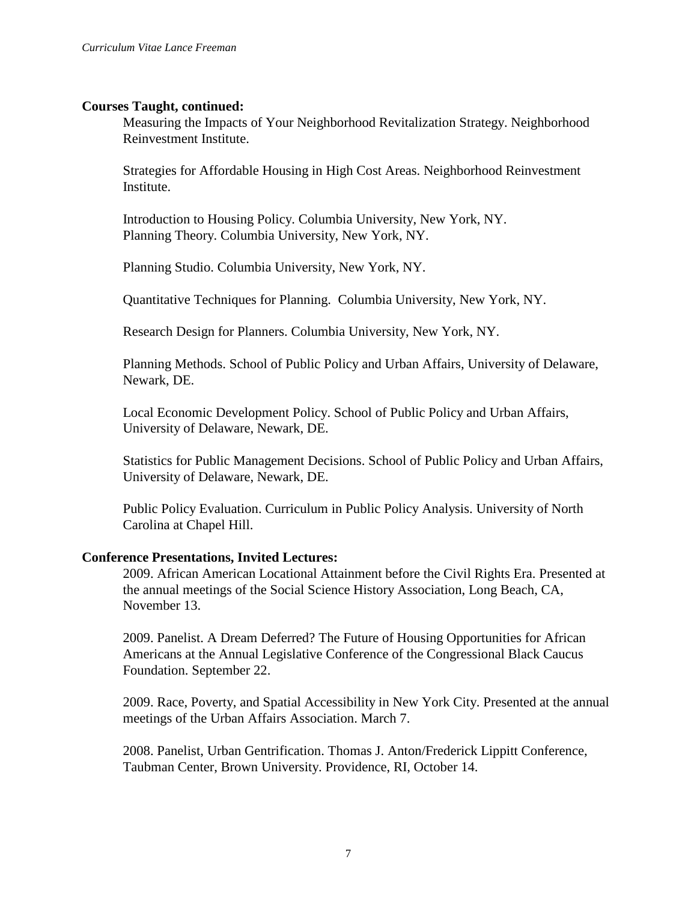## **Courses Taught, continued:**

Measuring the Impacts of Your Neighborhood Revitalization Strategy. Neighborhood Reinvestment Institute.

Strategies for Affordable Housing in High Cost Areas. Neighborhood Reinvestment **Institute.** 

Introduction to Housing Policy. Columbia University, New York, NY. Planning Theory. Columbia University, New York, NY.

Planning Studio. Columbia University, New York, NY.

Quantitative Techniques for Planning. Columbia University, New York, NY.

Research Design for Planners. Columbia University, New York, NY.

Planning Methods. School of Public Policy and Urban Affairs, University of Delaware, Newark, DE.

Local Economic Development Policy. School of Public Policy and Urban Affairs, University of Delaware, Newark, DE.

Statistics for Public Management Decisions. School of Public Policy and Urban Affairs, University of Delaware, Newark, DE.

Public Policy Evaluation. Curriculum in Public Policy Analysis. University of North Carolina at Chapel Hill.

## **Conference Presentations, Invited Lectures:**

2009. African American Locational Attainment before the Civil Rights Era. Presented at the annual meetings of the Social Science History Association, Long Beach, CA, November 13.

2009. Panelist. A Dream Deferred? The Future of Housing Opportunities for African Americans at the Annual Legislative Conference of the Congressional Black Caucus Foundation. September 22.

2009. Race, Poverty, and Spatial Accessibility in New York City. Presented at the annual meetings of the Urban Affairs Association. March 7.

2008. Panelist, Urban Gentrification. Thomas J. Anton/Frederick Lippitt Conference, Taubman Center, Brown University. Providence, RI, October 14.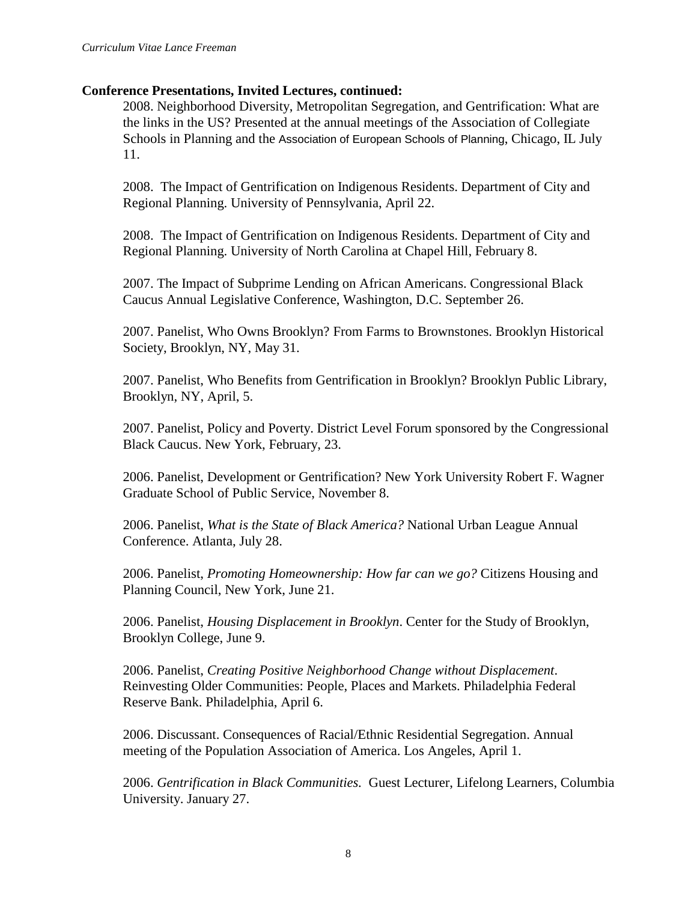2008. Neighborhood Diversity, Metropolitan Segregation, and Gentrification: What are the links in the US? Presented at the annual meetings of the Association of Collegiate Schools in Planning and the Association of European Schools of Planning, Chicago, IL July 11.

2008. The Impact of Gentrification on Indigenous Residents. Department of City and Regional Planning. University of Pennsylvania, April 22.

2008. The Impact of Gentrification on Indigenous Residents. Department of City and Regional Planning. University of North Carolina at Chapel Hill, February 8.

2007. The Impact of Subprime Lending on African Americans. Congressional Black Caucus Annual Legislative Conference, Washington, D.C. September 26.

2007. Panelist, Who Owns Brooklyn? From Farms to Brownstones. Brooklyn Historical Society, Brooklyn, NY, May 31.

2007. Panelist, Who Benefits from Gentrification in Brooklyn? Brooklyn Public Library, Brooklyn, NY, April, 5.

2007. Panelist, Policy and Poverty. District Level Forum sponsored by the Congressional Black Caucus. New York, February, 23.

2006. Panelist, Development or Gentrification? New York University Robert F. Wagner Graduate School of Public Service, November 8.

2006. Panelist, *What is the State of Black America?* National Urban League Annual Conference. Atlanta, July 28.

2006. Panelist, *Promoting Homeownership: How far can we go?* Citizens Housing and Planning Council, New York, June 21.

2006. Panelist, *Housing Displacement in Brooklyn*. Center for the Study of Brooklyn, Brooklyn College, June 9.

2006. Panelist, *Creating Positive Neighborhood Change without Displacement*. Reinvesting Older Communities: People, Places and Markets. Philadelphia Federal Reserve Bank. Philadelphia, April 6.

2006. Discussant. Consequences of Racial/Ethnic Residential Segregation. Annual meeting of the Population Association of America. Los Angeles, April 1.

2006. *Gentrification in Black Communities.* Guest Lecturer, Lifelong Learners, Columbia University. January 27.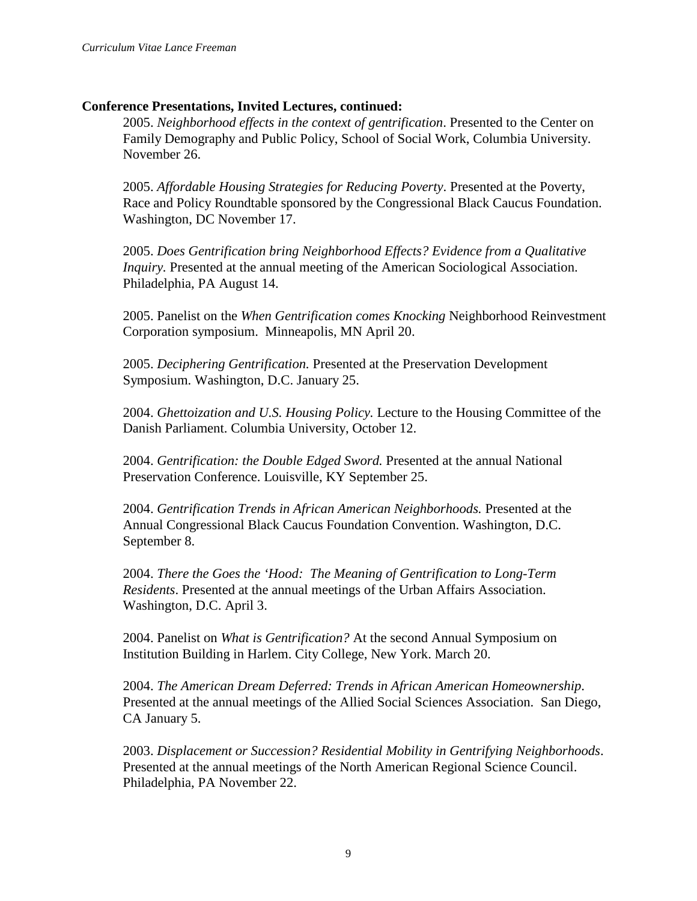2005. *Neighborhood effects in the context of gentrification*. Presented to the Center on Family Demography and Public Policy, School of Social Work, Columbia University. November 26.

2005. *Affordable Housing Strategies for Reducing Poverty*. Presented at the Poverty, Race and Policy Roundtable sponsored by the Congressional Black Caucus Foundation. Washington, DC November 17.

2005. *Does Gentrification bring Neighborhood Effects? Evidence from a Qualitative Inquiry.* Presented at the annual meeting of the American Sociological Association. Philadelphia, PA August 14.

2005. Panelist on the *When Gentrification comes Knocking* Neighborhood Reinvestment Corporation symposium. Minneapolis, MN April 20.

2005. *Deciphering Gentrification.* Presented at the Preservation Development Symposium. Washington, D.C. January 25.

2004. *Ghettoization and U.S. Housing Policy.* Lecture to the Housing Committee of the Danish Parliament. Columbia University, October 12.

2004. *Gentrification: the Double Edged Sword.* Presented at the annual National Preservation Conference. Louisville, KY September 25.

2004. *Gentrification Trends in African American Neighborhoods.* Presented at the Annual Congressional Black Caucus Foundation Convention. Washington, D.C. September 8.

2004. *There the Goes the 'Hood: The Meaning of Gentrification to Long-Term Residents*. Presented at the annual meetings of the Urban Affairs Association. Washington, D.C. April 3.

2004. Panelist on *What is Gentrification?* At the second Annual Symposium on Institution Building in Harlem. City College, New York. March 20.

2004. *The American Dream Deferred: Trends in African American Homeownership*. Presented at the annual meetings of the Allied Social Sciences Association. San Diego, CA January 5.

2003. *Displacement or Succession? Residential Mobility in Gentrifying Neighborhoods*. Presented at the annual meetings of the North American Regional Science Council. Philadelphia, PA November 22.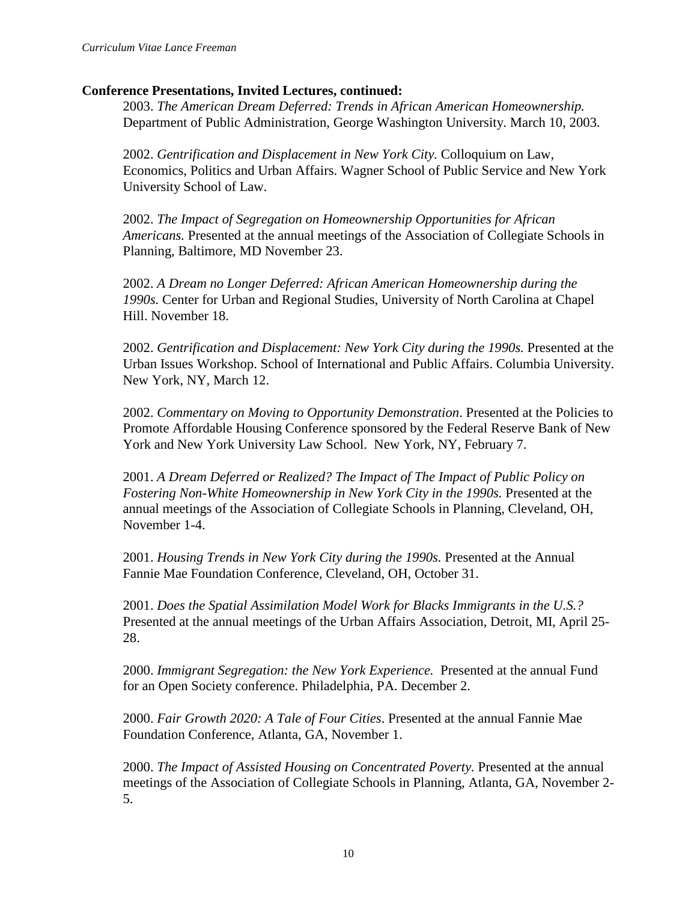2003. *The American Dream Deferred: Trends in African American Homeownership.*  Department of Public Administration, George Washington University. March 10, 2003.

2002. *Gentrification and Displacement in New York City.* Colloquium on Law, Economics, Politics and Urban Affairs. Wagner School of Public Service and New York University School of Law.

2002. *The Impact of Segregation on Homeownership Opportunities for African Americans.* Presented at the annual meetings of the Association of Collegiate Schools in Planning, Baltimore, MD November 23.

2002. *A Dream no Longer Deferred: African American Homeownership during the 1990s.* Center for Urban and Regional Studies, University of North Carolina at Chapel Hill. November 18.

2002. *Gentrification and Displacement: New York City during the 1990s.* Presented at the Urban Issues Workshop. School of International and Public Affairs. Columbia University. New York, NY, March 12.

2002. *Commentary on Moving to Opportunity Demonstration*. Presented at the Policies to Promote Affordable Housing Conference sponsored by the Federal Reserve Bank of New York and New York University Law School. New York, NY, February 7.

2001. *A Dream Deferred or Realized? The Impact of The Impact of Public Policy on*  Fostering Non-White Homeownership in New York City in the 1990s. Presented at the annual meetings of the Association of Collegiate Schools in Planning, Cleveland, OH, November 1-4.

2001. *Housing Trends in New York City during the 1990s.* Presented at the Annual Fannie Mae Foundation Conference, Cleveland, OH, October 31.

2001. *Does the Spatial Assimilation Model Work for Blacks Immigrants in the U.S.?*  Presented at the annual meetings of the Urban Affairs Association, Detroit, MI, April 25- 28.

2000. *Immigrant Segregation: the New York Experience.* Presented at the annual Fund for an Open Society conference. Philadelphia, PA. December 2.

2000. *Fair Growth 2020: A Tale of Four Cities*. Presented at the annual Fannie Mae Foundation Conference, Atlanta, GA, November 1.

2000. *The Impact of Assisted Housing on Concentrated Poverty.* Presented at the annual meetings of the Association of Collegiate Schools in Planning, Atlanta, GA, November 2- 5.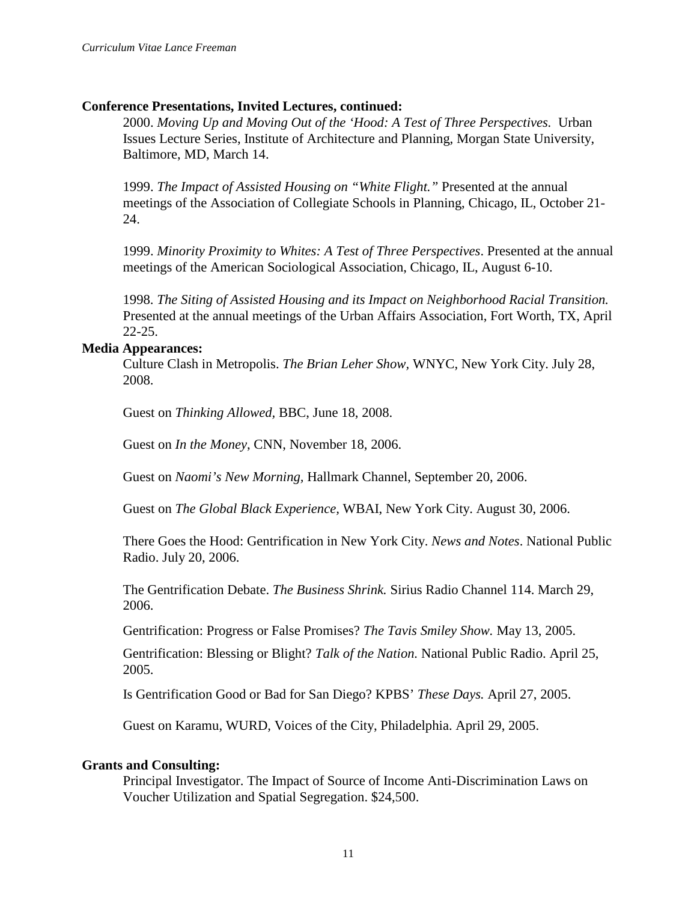2000. *Moving Up and Moving Out of the 'Hood: A Test of Three Perspectives.* Urban Issues Lecture Series, Institute of Architecture and Planning, Morgan State University, Baltimore, MD, March 14.

1999. *The Impact of Assisted Housing on "White Flight."* Presented at the annual meetings of the Association of Collegiate Schools in Planning, Chicago, IL, October 21- 24.

1999. *Minority Proximity to Whites: A Test of Three Perspectives*. Presented at the annual meetings of the American Sociological Association, Chicago, IL, August 6-10.

1998. *The Siting of Assisted Housing and its Impact on Neighborhood Racial Transition.* Presented at the annual meetings of the Urban Affairs Association, Fort Worth, TX, April 22-25.

## **Media Appearances:**

Culture Clash in Metropolis. *The Brian Leher Show,* WNYC, New York City. July 28, 2008.

Guest on *Thinking Allowed,* BBC, June 18, 2008.

Guest on *In the Money*, CNN, November 18, 2006.

Guest on *Naomi's New Morning,* Hallmark Channel, September 20, 2006.

Guest on *The Global Black Experience,* WBAI, New York City. August 30, 2006.

There Goes the Hood: Gentrification in New York City. *News and Notes*. National Public Radio. July 20, 2006.

The Gentrification Debate. *The Business Shrink.* Sirius Radio Channel 114. March 29, 2006.

Gentrification: Progress or False Promises? *The Tavis Smiley Show.* May 13, 2005.

Gentrification: Blessing or Blight? *Talk of the Nation.* National Public Radio. April 25, 2005.

Is Gentrification Good or Bad for San Diego? KPBS' *These Days.* April 27, 2005.

Guest on Karamu, WURD, Voices of the City, Philadelphia. April 29, 2005.

## **Grants and Consulting:**

Principal Investigator. The Impact of Source of Income Anti-Discrimination Laws on Voucher Utilization and Spatial Segregation. \$24,500.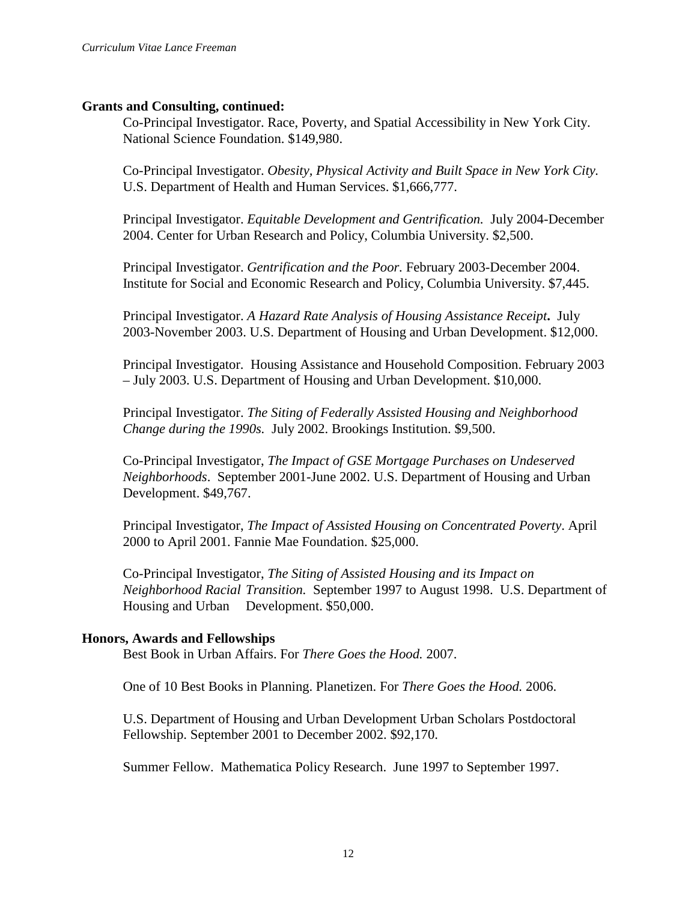## **Grants and Consulting, continued:**

Co-Principal Investigator. Race, Poverty, and Spatial Accessibility in New York City. National Science Foundation. \$149,980.

Co-Principal Investigator. *Obesity, Physical Activity and Built Space in New York City.*  U.S. Department of Health and Human Services. \$1,666,777.

Principal Investigator. *Equitable Development and Gentrification.* July 2004-December 2004. Center for Urban Research and Policy, Columbia University. \$2,500.

Principal Investigator. *Gentrification and the Poor.* February 2003-December 2004. Institute for Social and Economic Research and Policy, Columbia University. \$7,445.

Principal Investigator. *A Hazard Rate Analysis of Housing Assistance Receipt***.** July 2003-November 2003. U.S. Department of Housing and Urban Development. \$12,000.

Principal Investigator. Housing Assistance and Household Composition. February 2003 – July 2003. U.S. Department of Housing and Urban Development. \$10,000.

Principal Investigator. *The Siting of Federally Assisted Housing and Neighborhood Change during the 1990s.* July 2002. Brookings Institution. \$9,500.

Co-Principal Investigator, *The Impact of GSE Mortgage Purchases on Undeserved Neighborhoods*. September 2001-June 2002. U.S. Department of Housing and Urban Development. \$49,767.

Principal Investigator, *The Impact of Assisted Housing on Concentrated Poverty*. April 2000 to April 2001. Fannie Mae Foundation. \$25,000.

Co-Principal Investigator, *The Siting of Assisted Housing and its Impact on Neighborhood Racial Transition.* September 1997 to August 1998. U.S. Department of Housing and Urban Development. \$50,000.

## **Honors, Awards and Fellowships**

Best Book in Urban Affairs. For *There Goes the Hood.* 2007.

One of 10 Best Books in Planning. Planetizen. For *There Goes the Hood.* 2006.

U.S. Department of Housing and Urban Development Urban Scholars Postdoctoral Fellowship. September 2001 to December 2002. \$92,170.

Summer Fellow. Mathematica Policy Research. June 1997 to September 1997.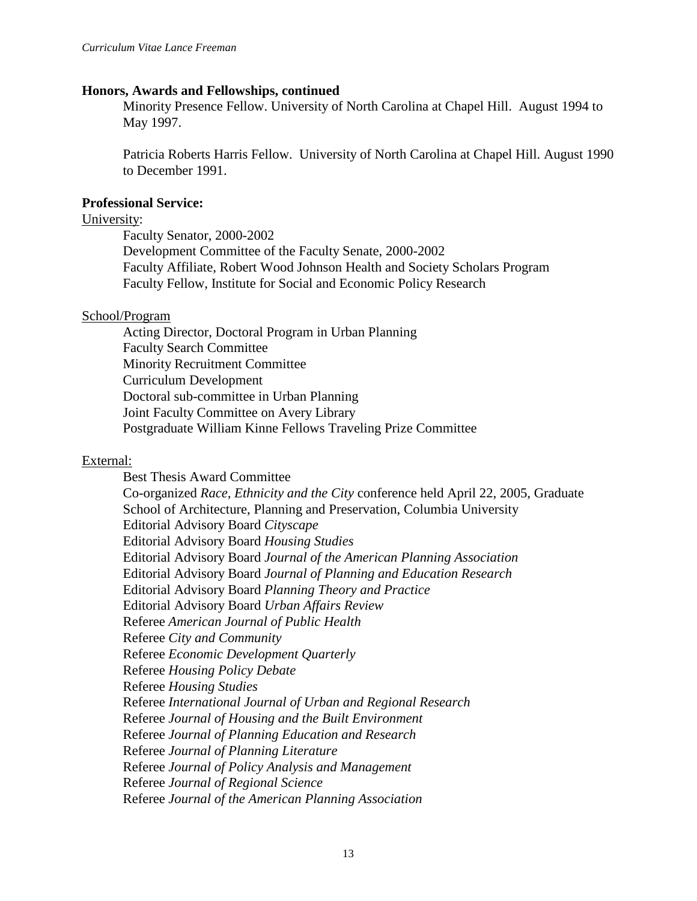#### **Honors, Awards and Fellowships, continued**

Minority Presence Fellow. University of North Carolina at Chapel Hill. August 1994 to May 1997.

Patricia Roberts Harris Fellow. University of North Carolina at Chapel Hill. August 1990 to December 1991.

#### **Professional Service:**

#### University:

Faculty Senator, 2000-2002 Development Committee of the Faculty Senate, 2000-2002 Faculty Affiliate, Robert Wood Johnson Health and Society Scholars Program Faculty Fellow, Institute for Social and Economic Policy Research

## School/Program

Acting Director, Doctoral Program in Urban Planning Faculty Search Committee Minority Recruitment Committee Curriculum Development Doctoral sub-committee in Urban Planning Joint Faculty Committee on Avery Library Postgraduate William Kinne Fellows Traveling Prize Committee

## External:

Best Thesis Award Committee Co-organized *Race, Ethnicity and the City* conference held April 22, 2005, Graduate School of Architecture, Planning and Preservation, Columbia University Editorial Advisory Board *Cityscape* Editorial Advisory Board *Housing Studies* Editorial Advisory Board *Journal of the American Planning Association* Editorial Advisory Board *Journal of Planning and Education Research* Editorial Advisory Board *Planning Theory and Practice* Editorial Advisory Board *Urban Affairs Review* Referee *American Journal of Public Health* Referee *City and Community* Referee *Economic Development Quarterly* Referee *Housing Policy Debate* Referee *Housing Studies* Referee *International Journal of Urban and Regional Research* Referee *Journal of Housing and the Built Environment* Referee *Journal of Planning Education and Research* Referee *Journal of Planning Literature* Referee *Journal of Policy Analysis and Management* Referee *Journal of Regional Science* Referee *Journal of the American Planning Association*